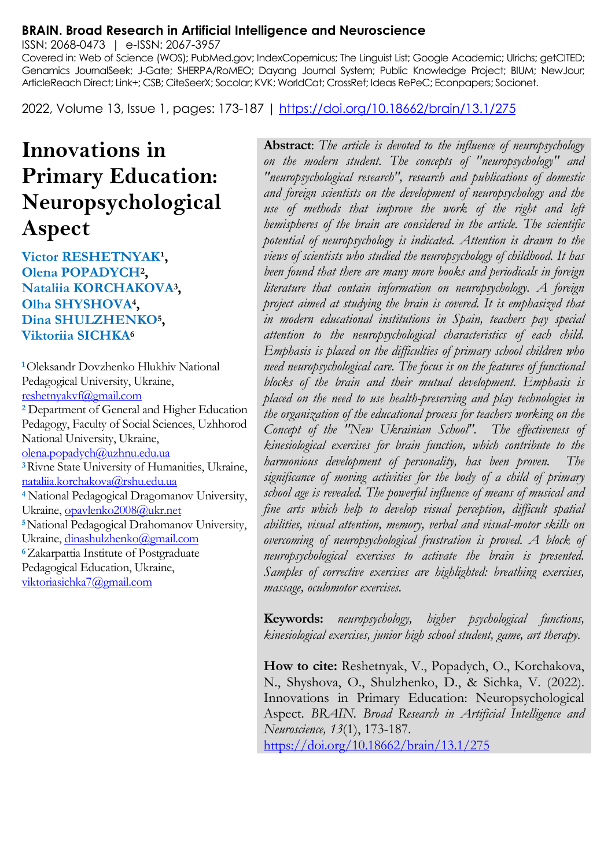#### **BRAIN. Broad Research in Artificial Intelligence and Neuroscience**

ISSN: 2068-0473 | e-ISSN: 2067-3957

Covered in: Web of Science (WOS); PubMed.gov; IndexCopernicus; The Linguist List; Google Academic; Ulrichs; getCITED; Genamics JournalSeek; J-Gate; SHERPA/RoMEO; Dayang Journal System; Public Knowledge Project; BIUM; NewJour; ArticleReach Direct; Link+; CSB; CiteSeerX; Socolar; KVK; WorldCat; CrossRef; Ideas RePeC; Econpapers; Socionet.

2022, Volume 13, Issue 1, pages: 173-187 |<https://doi.org/10.18662/brain/13.1/275>

# **Innovations in Primary Education: Neuropsychological Aspect**

**Victor RESHETNYAK<sup>1</sup>, Olena POPADYCH<sup>2</sup> , Nataliia KORCHAKOVA<sup>3</sup> , Olha SHYSHOVA<sup>4</sup> , Dina SHULZHENKO<sup>5</sup> , Viktoriia SICHKA<sup>6</sup>**

**<sup>1</sup>**Oleksandr Dovzhenko Hlukhiv National Pedagogical University, Ukraine, [reshetnyakvf@gmail.com](mailto:reshetnyakvf@gmail.com) **<sup>2</sup>** Department of General and Higher Education Pedagogy, Faculty of Social Sciences, Uzhhorod National University, Ukraine, [olena.popadych@uzhnu.edu.ua](mailto:olena.popadych@uzhnu.edu.ua) **<sup>3</sup>**Rivne State University of Humanities, Ukraine, [nataliia.korchakova@rshu.edu.ua](mailto:nataliia.korchakova@rshu.edu.ua) **<sup>4</sup>** National Pedagogical Dragomanov University, Ukraine[, opavlenko2008@ukr.net](mailto:opavlenko2008@ukr.net) **<sup>5</sup>**National Pedagogical Drahomanov University, Ukraine[, dinashulzhenko@gmail.com](mailto:dinashulzhenko@gmail.com) **<sup>6</sup>**Zakarpattia Institute of Postgraduate Pedagogical Education, Ukraine, [viktoriasichka7@gmail.com](mailto:viktoriasichka7@gmail.com)

**Abstract**: *The article is devoted to the influence of neuropsychology on the modern student. The concepts of "neuropsychology" and "neuropsychological research", research and publications of domestic and foreign scientists on the development of neuropsychology and the use of methods that improve the work of the right and left hemispheres of the brain are considered in the article. The scientific potential of neuropsychology is indicated. Attention is drawn to the views of scientists who studied the neuropsychology of childhood. It has been found that there are many more books and periodicals in foreign literature that contain information on neuropsychology. A foreign project aimed at studying the brain is covered. It is emphasized that in modern educational institutions in Spain, teachers pay special attention to the neuropsychological characteristics of each child. Emphasis is placed on the difficulties of primary school children who need neuropsychological care. The focus is on the features of functional blocks of the brain and their mutual development. Emphasis is placed on the need to use health-preserving and play technologies in the organization of the educational process for teachers working on the Concept of the "New Ukrainian School". The effectiveness of kinesiological exercises for brain function, which contribute to the harmonious development of personality, has been proven. The significance of moving activities for the body of a child of primary school age is revealed. The powerful influence of means of musical and fine arts which help to develop visual perception, difficult spatial abilities, visual attention, memory, verbal and visual-motor skills on overcoming of neuropsychological frustration is proved. A block of neuropsychological exercises to activate the brain is presented. Samples of corrective exercises are highlighted: breathing exercises, massage, oculomotor exercises.*

**Keywords:** *neuropsychology, higher psychological functions, kinesiological exercises, junior high school student, game, art therapy.*

**How to cite:** Reshetnyak, V., Popadych, O., Korchakova, N., Shyshova, O., Shulzhenko, D., & Sichka, V. (2022). Innovations in Primary Education: Neuropsychological Aspect. *BRAIN. Broad Research in Artificial Intelligence and Neuroscience, 13*(1), 173-187. <https://doi.org/10.18662/brain/13.1/275>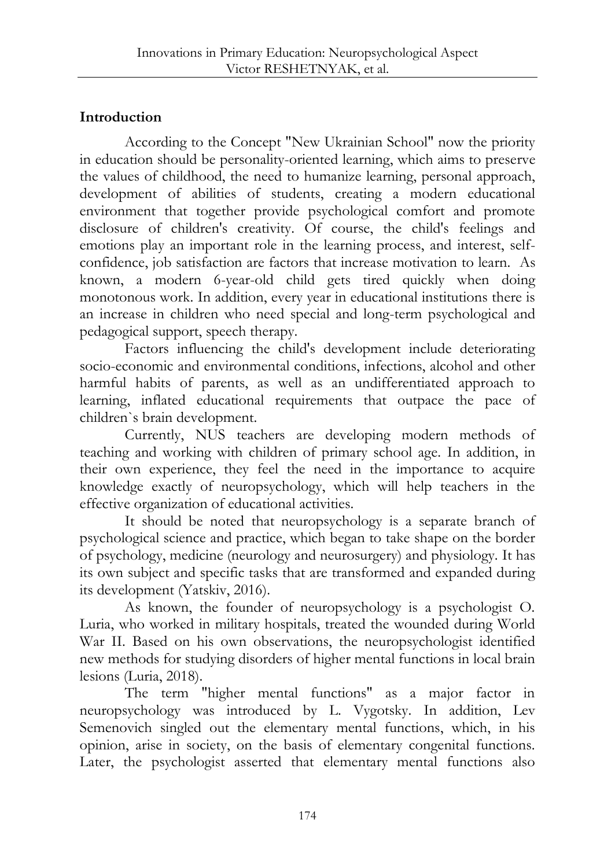## **Introduction**

According to the Concept "New Ukrainian School" now the priority in education should be personality-oriented learning, which aims to preserve the values of childhood, the need to humanize learning, personal approach, development of abilities of students, creating a modern educational environment that together provide psychological comfort and promote disclosure of children's creativity. Of course, the child's feelings and emotions play an important role in the learning process, and interest, selfconfidence, job satisfaction are factors that increase motivation to learn. As known, a modern 6-year-old child gets tired quickly when doing monotonous work. In addition, every year in educational institutions there is an increase in children who need special and long-term psychological and pedagogical support, speech therapy.

Factors influencing the child's development include deteriorating socio-economic and environmental conditions, infections, alcohol and other harmful habits of parents, as well as an undifferentiated approach to learning, inflated educational requirements that outpace the pace of children`s brain development.

Currently, NUS teachers are developing modern methods of teaching and working with children of primary school age. In addition, in their own experience, they feel the need in the importance to acquire knowledge exactly of neuropsychology, which will help teachers in the effective organization of educational activities.

It should be noted that neuropsychology is a separate branch of psychological science and practice, which began to take shape on the border of psychology, medicine (neurology and neurosurgery) and physiology. It has its own subject and specific tasks that are transformed and expanded during its development (Yatskiv, 2016).

As known, the founder of neuropsychology is a psychologist O. Luria, who worked in military hospitals, treated the wounded during World War II. Based on his own observations, the neuropsychologist identified new methods for studying disorders of higher mental functions in local brain lesions (Luria, 2018).

The term "higher mental functions" as a major factor in neuropsychology was introduced by L. Vygotsky. In addition, Lev Semenovich singled out the elementary mental functions, which, in his opinion, arise in society, on the basis of elementary congenital functions. Later, the psychologist asserted that elementary mental functions also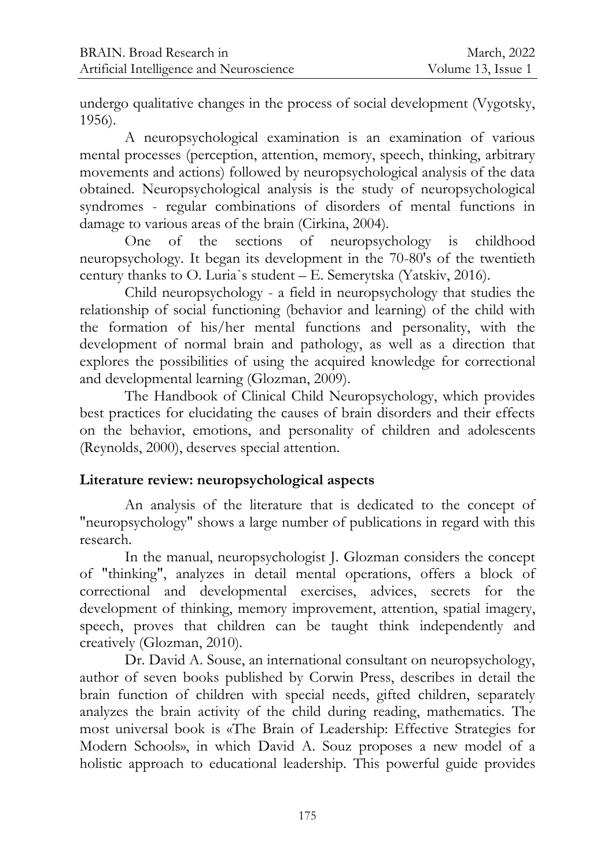undergo qualitative changes in the process of social development (Vygotsky, 1956).

A neuropsychological examination is an examination of various mental processes (perception, attention, memory, speech, thinking, arbitrary movements and actions) followed by neuropsychological analysis of the data obtained. Neuropsychological analysis is the study of neuropsychological syndromes - regular combinations of disorders of mental functions in damage to various areas of the brain (Cirkina, 2004).

One of the sections of neuropsychology is childhood neuropsychology. It began its development in the 70-80's of the twentieth century thanks to O. Luria`s student – E. Semerytska (Yatskiv, 2016).

Child neuropsychology - a field in neuropsychology that studies the relationship of social functioning (behavior and learning) of the child with the formation of his/her mental functions and personality, with the development of normal brain and pathology, as well as a direction that explores the possibilities of using the acquired knowledge for correctional and developmental learning (Glozman, 2009).

The Handbook of Clinical Child Neuropsychology, which provides best practices for elucidating the causes of brain disorders and their effects on the behavior, emotions, and personality of children and adolescents (Reynolds, 2000), deserves special attention.

## **Literature review: neuropsychological aspects**

An analysis of the literature that is dedicated to the concept of "neuropsychology" shows a large number of publications in regard with this research.

In the manual, neuropsychologist J. Glozman considers the concept of "thinking", analyzes in detail mental operations, offers a block of correctional and developmental exercises, advices, secrets for the development of thinking, memory improvement, attention, spatial imagery, speech, proves that children can be taught think independently and creatively (Glozman, 2010).

Dr. David A. Souse, an international consultant on neuropsychology, author of seven books published by Corwin Press, describes in detail the brain function of children with special needs, gifted children, separately analyzes the brain activity of the child during reading, mathematics. The most universal book is «The Brain of Leadership: Effective Strategies for Modern Schools», in which David A. Souz proposes a new model of a holistic approach to educational leadership. This powerful guide provides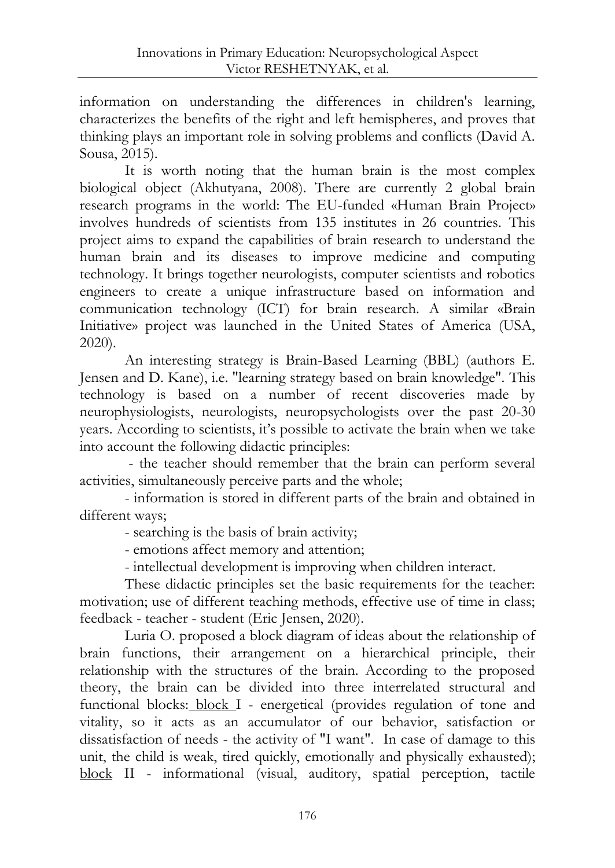information on understanding the differences in children's learning, characterizes the benefits of the right and left hemispheres, and proves that thinking plays an important role in solving problems and conflicts (David A. Sousa, 2015).

It is worth noting that the human brain is the most complex biological object (Akhutyana, 2008). There are currently 2 global brain research programs in the world: The EU-funded «Human Brain Project» involves hundreds of scientists from 135 institutes in 26 countries. This project aims to expand the capabilities of brain research to understand the human brain and its diseases to improve medicine and computing technology. It brings together neurologists, computer scientists and robotics engineers to create a unique infrastructure based on information and communication technology (ICT) for brain research. A similar «Brain Initiative» project was launched in the United States of America (USA, 2020).

An interesting strategy is Brain-Based Learning (BBL) (authors E. Jensen and D. Kane), i.e. "learning strategy based on brain knowledge". This technology is based on a number of recent discoveries made by neurophysiologists, neurologists, neuropsychologists over the past 20-30 years. According to scientists, it's possible to activate the brain when we take into account the following didactic principles:

- the teacher should remember that the brain can perform several activities, simultaneously perceive parts and the whole;

- information is stored in different parts of the brain and obtained in different ways;

- searching is the basis of brain activity;

- emotions affect memory and attention;

- intellectual development is improving when children interact.

These didactic principles set the basic requirements for the teacher: motivation; use of different teaching methods, effective use of time in class; feedback - teacher - student (Eric Jensen, 2020).

Luria O. proposed a block diagram of ideas about the relationship of brain functions, their arrangement on a hierarchical principle, their relationship with the structures of the brain. According to the proposed theory, the brain can be divided into three interrelated structural and functional blocks: block I - energetical (provides regulation of tone and vitality, so it acts as an accumulator of our behavior, satisfaction or dissatisfaction of needs - the activity of "I want". In case of damage to this unit, the child is weak, tired quickly, emotionally and physically exhausted); block II - informational (visual, auditory, spatial perception, tactile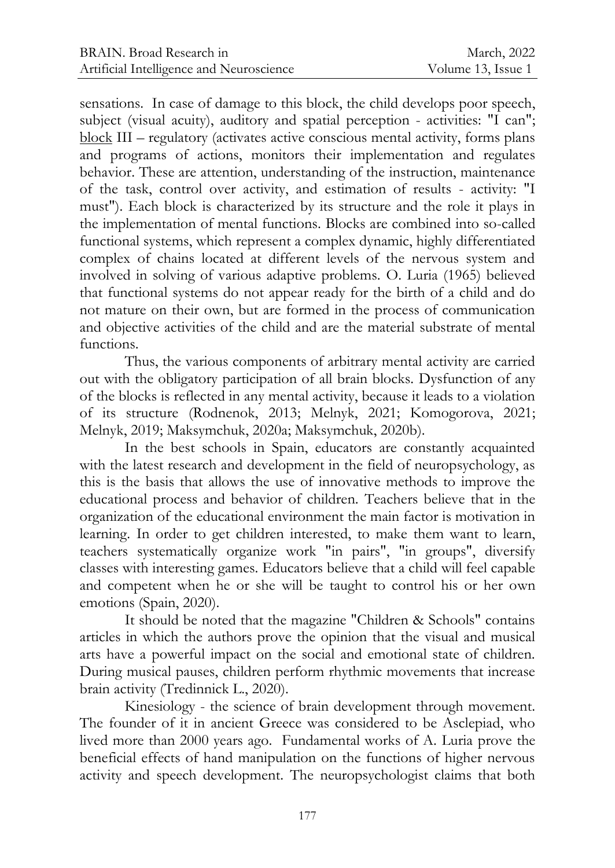sensations. In case of damage to this block, the child develops poor speech, subject (visual acuity), auditory and spatial perception - activities: "I can"; block III – regulatory (activates active conscious mental activity, forms plans and programs of actions, monitors their implementation and regulates behavior. These are attention, understanding of the instruction, maintenance of the task, control over activity, and estimation of results - activity: "I must"). Each block is characterized by its structure and the role it plays in the implementation of mental functions. Blocks are combined into so-called functional systems, which represent a complex dynamic, highly differentiated complex of chains located at different levels of the nervous system and involved in solving of various adaptive problems. О. Luria (1965) believed that functional systems do not appear ready for the birth of a child and do not mature on their own, but are formed in the process of communication and objective activities of the child and are the material substrate of mental functions.

Thus, the various components of arbitrary mental activity are carried out with the obligatory participation of all brain blocks. Dysfunction of any of the blocks is reflected in any mental activity, because it leads to a violation of its structure (Rodnenok, 2013; Melnyk, 2021; Komogorova, 2021; Melnyk, 2019; Maksymchuk, 2020a; Maksymchuk, 2020b).

In the best schools in Spain, educators are constantly acquainted with the latest research and development in the field of neuropsychology, as this is the basis that allows the use of innovative methods to improve the educational process and behavior of children. Teachers believe that in the organization of the educational environment the main factor is motivation in learning. In order to get children interested, to make them want to learn, teachers systematically organize work "in pairs", "in groups", diversify classes with interesting games. Educators believe that a child will feel capable and competent when he or she will be taught to control his or her own emotions (Spain, 2020).

It should be noted that the magazine "Children & Schools" contains articles in which the authors prove the opinion that the visual and musical arts have a powerful impact on the social and emotional state of children. During musical pauses, children perform rhythmic movements that increase brain activity (Tredinnick L., 2020).

Kinesiology - the science of brain development through movement. The founder of it in ancient Greece was considered to be Asclepiad, who lived more than 2000 years ago. Fundamental works of A. Luria prove the beneficial effects of hand manipulation on the functions of higher nervous activity and speech development. The neuropsychologist claims that both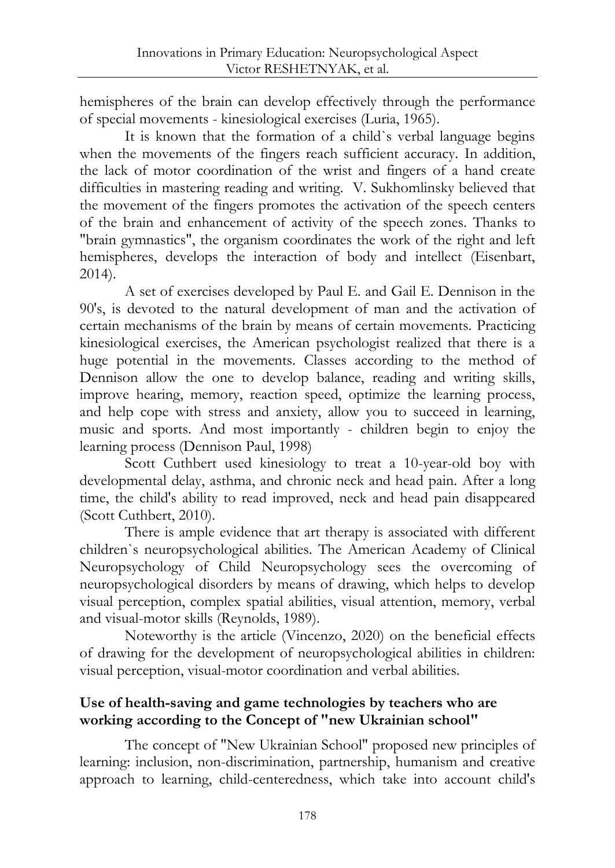hemispheres of the brain can develop effectively through the performance of special movements - kinesiological exercises (Luria, 1965).

It is known that the formation of a child`s verbal language begins when the movements of the fingers reach sufficient accuracy. In addition, the lack of motor coordination of the wrist and fingers of a hand create difficulties in mastering reading and writing. V. Sukhomlinsky believed that the movement of the fingers promotes the activation of the speech centers of the brain and enhancement of activity of the speech zones. Thanks to "brain gymnastics", the organism coordinates the work of the right and left hemispheres, develops the interaction of body and intellect (Eisenbart, 2014).

A set of exercises developed by Paul E. and Gail E. Dennison in the 90's, is devoted to the natural development of man and the activation of certain mechanisms of the brain by means of certain movements. Practicing kinesiological exercises, the American psychologist realized that there is a huge potential in the movements. Classes according to the method of Dennison allow the one to develop balance, reading and writing skills, improve hearing, memory, reaction speed, optimize the learning process, and help cope with stress and anxiety, allow you to succeed in learning, music and sports. And most importantly - children begin to enjoy the learning process (Dennison Paul, 1998)

Scott Cuthbert used kinesiology to treat a 10-year-old boy with developmental delay, asthma, and chronic neck and head pain. After a long time, the child's ability to read improved, neck and head pain disappeared (Scott Cuthbert, 2010).

There is ample evidence that art therapy is associated with different children`s neuropsychological abilities. The American Academy of Clinical Neuropsychology of Child Neuropsychology sees the overcoming of neuropsychological disorders by means of drawing, which helps to develop visual perception, complex spatial abilities, visual attention, memory, verbal and visual-motor skills (Reynolds, 1989).

Noteworthy is the article (Vincenzo, 2020) on the beneficial effects of drawing for the development of neuropsychological abilities in children: visual perception, visual-motor coordination and verbal abilities.

## **Use of health-saving and game technologies by teachers who are working according to the Concept of "new Ukrainian school"**

The concept of "New Ukrainian School" proposed new principles of learning: inclusion, non-discrimination, partnership, humanism and creative approach to learning, child-centeredness, which take into account child's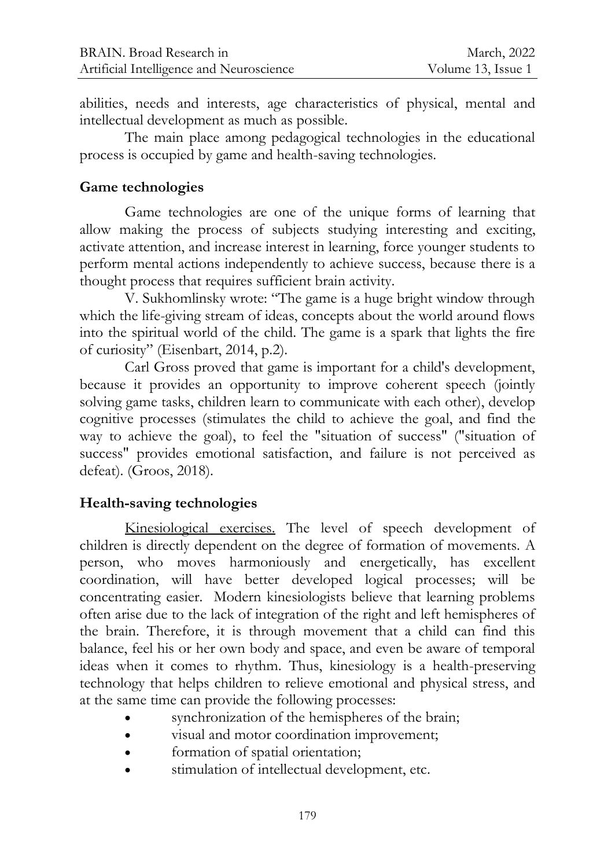abilities, needs and interests, age characteristics of physical, mental and intellectual development as much as possible.

The main place among pedagogical technologies in the educational process is occupied by game and health-saving technologies.

#### **Game technologies**

Game technologies are one of the unique forms of learning that allow making the process of subjects studying interesting and exciting, activate attention, and increase interest in learning, force younger students to perform mental actions independently to achieve success, because there is a thought process that requires sufficient brain activity.

V. Sukhomlinsky wrote: "The game is a huge bright window through which the life-giving stream of ideas, concepts about the world around flows into the spiritual world of the child. The game is a spark that lights the fire of curiosity" (Eisenbart, 2014, p.2).

Carl Gross proved that game is important for a child's development, because it provides an opportunity to improve coherent speech (jointly solving game tasks, children learn to communicate with each other), develop cognitive processes (stimulates the child to achieve the goal, and find the way to achieve the goal), to feel the "situation of success" ("situation of success" provides emotional satisfaction, and failure is not perceived as defeat). (Groos, 2018).

## **Health-saving technologies**

Kinesiological exercises. The level of speech development of children is directly dependent on the degree of formation of movements. A person, who moves harmoniously and energetically, has excellent coordination, will have better developed logical processes; will be concentrating easier. Modern kinesiologists believe that learning problems often arise due to the lack of integration of the right and left hemispheres of the brain. Therefore, it is through movement that a child can find this balance, feel his or her own body and space, and even be aware of temporal ideas when it comes to rhythm. Thus, kinesiology is a health-preserving technology that helps children to relieve emotional and physical stress, and at the same time can provide the following processes:

- synchronization of the hemispheres of the brain;
- visual and motor coordination improvement;
- formation of spatial orientation;
- stimulation of intellectual development, etc.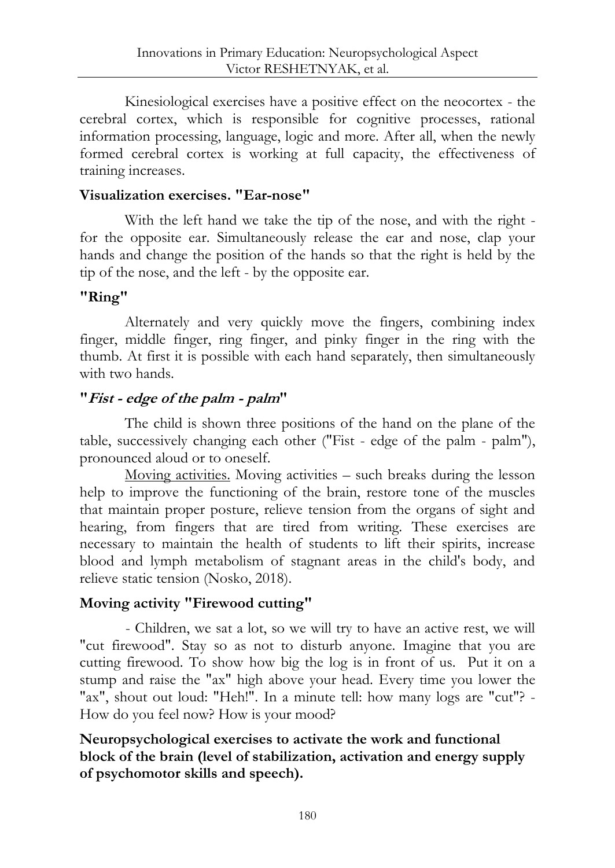Kinesiological exercises have a positive effect on the neocortex - the cerebral cortex, which is responsible for cognitive processes, rational information processing, language, logic and more. After all, when the newly formed cerebral cortex is working at full capacity, the effectiveness of training increases.

## **Visualization exercises. "Ear-nose"**

With the left hand we take the tip of the nose, and with the right for the opposite ear. Simultaneously release the ear and nose, clap your hands and change the position of the hands so that the right is held by the tip of the nose, and the left - by the opposite ear.

## **"Ring"**

Alternately and very quickly move the fingers, combining index finger, middle finger, ring finger, and pinky finger in the ring with the thumb. At first it is possible with each hand separately, then simultaneously with two hands.

## **"Fist - edge of the palm - palm"**

The child is shown three positions of the hand on the plane of the table, successively changing each other ("Fist - edge of the palm - palm"), pronounced aloud or to oneself.

Moving activities. Moving activities – such breaks during the lesson help to improve the functioning of the brain, restore tone of the muscles that maintain proper posture, relieve tension from the organs of sight and hearing, from fingers that are tired from writing. These exercises are necessary to maintain the health of students to lift their spirits, increase blood and lymph metabolism of stagnant areas in the child's body, and relieve static tension (Nosko, 2018).

## **Moving activity "Firewood cutting"**

- Children, we sat a lot, so we will try to have an active rest, we will "cut firewood". Stay so as not to disturb anyone. Imagine that you are cutting firewood. To show how big the log is in front of us. Put it on a stump and raise the "ax" high above your head. Every time you lower the "ax", shout out loud: "Heh!". In a minute tell: how many logs are "cut"? -How do you feel now? How is your mood?

## **Neuropsychological exercises to activate the work and functional block of the brain (level of stabilization, activation and energy supply of psychomotor skills and speech).**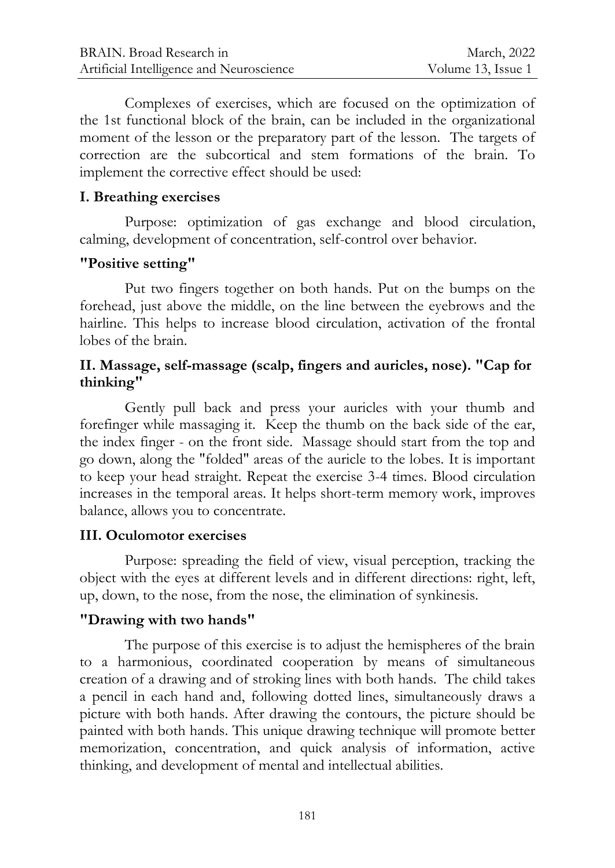Complexes of exercises, which are focused on the optimization of the 1st functional block of the brain, can be included in the organizational moment of the lesson or the preparatory part of the lesson. The targets of correction are the subcortical and stem formations of the brain. To implement the corrective effect should be used:

### **I. Breathing exercises**

Purpose: optimization of gas exchange and blood circulation, calming, development of concentration, self-control over behavior.

#### **"Positive setting"**

Put two fingers together on both hands. Put on the bumps on the forehead, just above the middle, on the line between the eyebrows and the hairline. This helps to increase blood circulation, activation of the frontal lobes of the brain.

#### **ІІ. Massage, self-massage (scalp, fingers and auricles, nose). "Cap for thinking"**

Gently pull back and press your auricles with your thumb and forefinger while massaging it. Keep the thumb on the back side of the ear, the index finger - on the front side. Massage should start from the top and go down, along the "folded" areas of the auricle to the lobes. It is important to keep your head straight. Repeat the exercise 3-4 times. Blood circulation increases in the temporal areas. It helps short-term memory work, improves balance, allows you to concentrate.

## **III. Oculomotor exercises**

Purpose: spreading the field of view, visual perception, tracking the object with the eyes at different levels and in different directions: right, left, up, down, to the nose, from the nose, the elimination of synkinesis.

#### **"Drawing with two hands"**

The purpose of this exercise is to adjust the hemispheres of the brain to a harmonious, coordinated cooperation by means of simultaneous creation of a drawing and of stroking lines with both hands. The child takes a pencil in each hand and, following dotted lines, simultaneously draws a picture with both hands. After drawing the contours, the picture should be painted with both hands. This unique drawing technique will promote better memorization, concentration, and quick analysis of information, active thinking, and development of mental and intellectual abilities.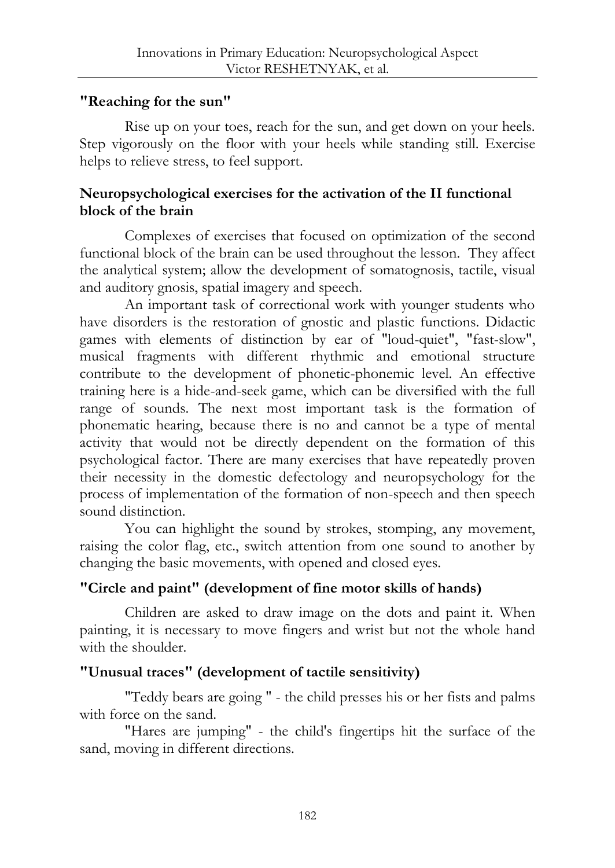## **"Reaching for the sun"**

Rise up on your toes, reach for the sun, and get down on your heels. Step vigorously on the floor with your heels while standing still. Exercise helps to relieve stress, to feel support.

## **Neuropsychological exercises for the activation of the II functional block of the brain**

Complexes of exercises that focused on optimization of the second functional block of the brain can be used throughout the lesson. They affect the analytical system; allow the development of somatognosis, tactile, visual and auditory gnosis, spatial imagery and speech.

An important task of correctional work with younger students who have disorders is the restoration of gnostic and plastic functions. Didactic games with elements of distinction by ear of "loud-quiet", "fast-slow", musical fragments with different rhythmic and emotional structure contribute to the development of phonetic-phonemic level. An effective training here is a hide-and-seek game, which can be diversified with the full range of sounds. The next most important task is the formation of phonematic hearing, because there is no and cannot be a type of mental activity that would not be directly dependent on the formation of this psychological factor. There are many exercises that have repeatedly proven their necessity in the domestic defectology and neuropsychology for the process of implementation of the formation of non-speech and then speech sound distinction.

You can highlight the sound by strokes, stomping, any movement, raising the color flag, etc., switch attention from one sound to another by changing the basic movements, with opened and closed eyes.

## **"Circle and paint" (development of fine motor skills of hands)**

Children are asked to draw image on the dots and paint it. When painting, it is necessary to move fingers and wrist but not the whole hand with the shoulder.

## **"Unusual traces" (development of tactile sensitivity)**

"Teddy bears are going " - the child presses his or her fists and palms with force on the sand.

"Hares are jumping" - the child's fingertips hit the surface of the sand, moving in different directions.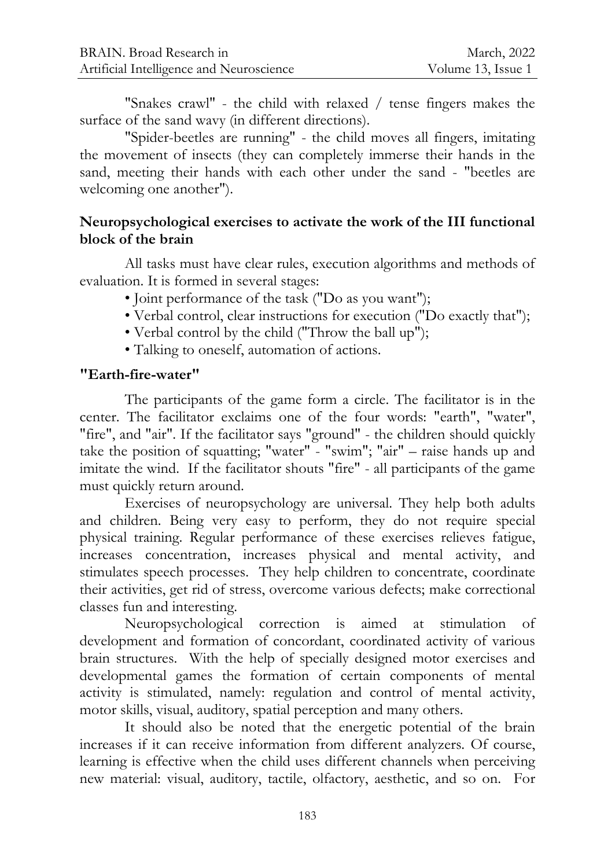"Snakes crawl" - the child with relaxed / tense fingers makes the surface of the sand wavy (in different directions).

"Spider-beetles are running" - the child moves all fingers, imitating the movement of insects (they can completely immerse their hands in the sand, meeting their hands with each other under the sand - "beetles are welcoming one another").

### **Neuropsychological exercises to activate the work of the III functional block of the brain**

All tasks must have clear rules, execution algorithms and methods of evaluation. It is formed in several stages:

- Joint performance of the task ("Do as you want");
- Verbal control, clear instructions for execution ("Do exactly that");
- Verbal control by the child ("Throw the ball up");
- Talking to oneself, automation of actions.

## **"Earth-fire-water"**

The participants of the game form a circle. The facilitator is in the center. The facilitator exclaims one of the four words: "earth", "water", "fire", and "air". If the facilitator says "ground" - the children should quickly take the position of squatting; "water" - "swim"; "air" – raise hands up and imitate the wind. If the facilitator shouts "fire" - all participants of the game must quickly return around.

Exercises of neuropsychology are universal. They help both adults and children. Being very easy to perform, they do not require special physical training. Regular performance of these exercises relieves fatigue, increases concentration, increases physical and mental activity, and stimulates speech processes. They help children to concentrate, coordinate their activities, get rid of stress, overcome various defects; make correctional classes fun and interesting.

Neuropsychological correction is aimed at stimulation of development and formation of concordant, coordinated activity of various brain structures. With the help of specially designed motor exercises and developmental games the formation of certain components of mental activity is stimulated, namely: regulation and control of mental activity, motor skills, visual, auditory, spatial perception and many others.

It should also be noted that the energetic potential of the brain increases if it can receive information from different analyzers. Of course, learning is effective when the child uses different channels when perceiving new material: visual, auditory, tactile, olfactory, aesthetic, and so on. For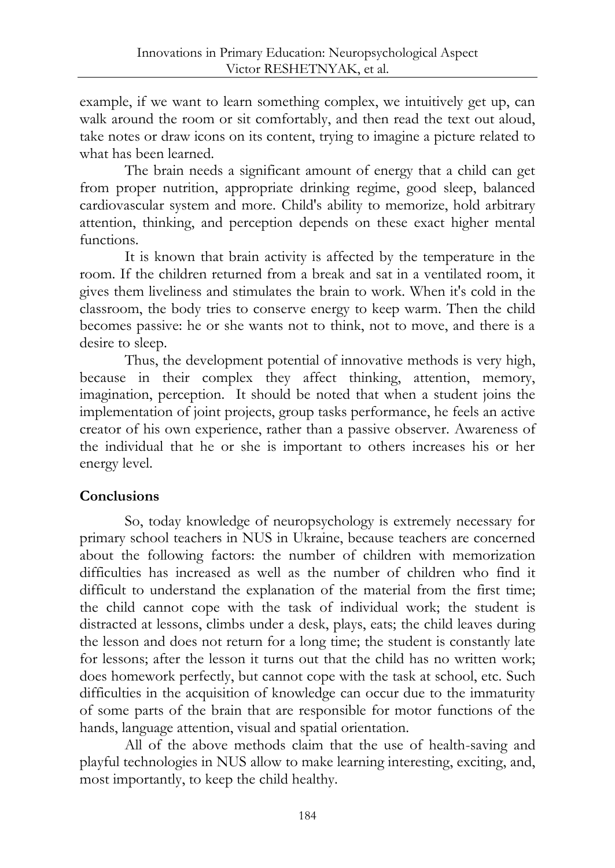example, if we want to learn something complex, we intuitively get up, can walk around the room or sit comfortably, and then read the text out aloud, take notes or draw icons on its content, trying to imagine a picture related to what has been learned.

The brain needs a significant amount of energy that a child can get from proper nutrition, appropriate drinking regime, good sleep, balanced cardiovascular system and more. Child's ability to memorize, hold arbitrary attention, thinking, and perception depends on these exact higher mental functions.

It is known that brain activity is affected by the temperature in the room. If the children returned from a break and sat in a ventilated room, it gives them liveliness and stimulates the brain to work. When it's cold in the classroom, the body tries to conserve energy to keep warm. Then the child becomes passive: he or she wants not to think, not to move, and there is a desire to sleep.

Thus, the development potential of innovative methods is very high, because in their complex they affect thinking, attention, memory, imagination, perception. It should be noted that when a student joins the implementation of joint projects, group tasks performance, he feels an active creator of his own experience, rather than a passive observer. Awareness of the individual that he or she is important to others increases his or her energy level.

## **Conclusions**

So, today knowledge of neuropsychology is extremely necessary for primary school teachers in NUS in Ukraine, because teachers are concerned about the following factors: the number of children with memorization difficulties has increased as well as the number of children who find it difficult to understand the explanation of the material from the first time; the child cannot cope with the task of individual work; the student is distracted at lessons, climbs under a desk, plays, eats; the child leaves during the lesson and does not return for a long time; the student is constantly late for lessons; after the lesson it turns out that the child has no written work; does homework perfectly, but cannot cope with the task at school, etc. Such difficulties in the acquisition of knowledge can occur due to the immaturity of some parts of the brain that are responsible for motor functions of the hands, language attention, visual and spatial orientation.

All of the above methods claim that the use of health-saving and playful technologies in NUS allow to make learning interesting, exciting, and, most importantly, to keep the child healthy.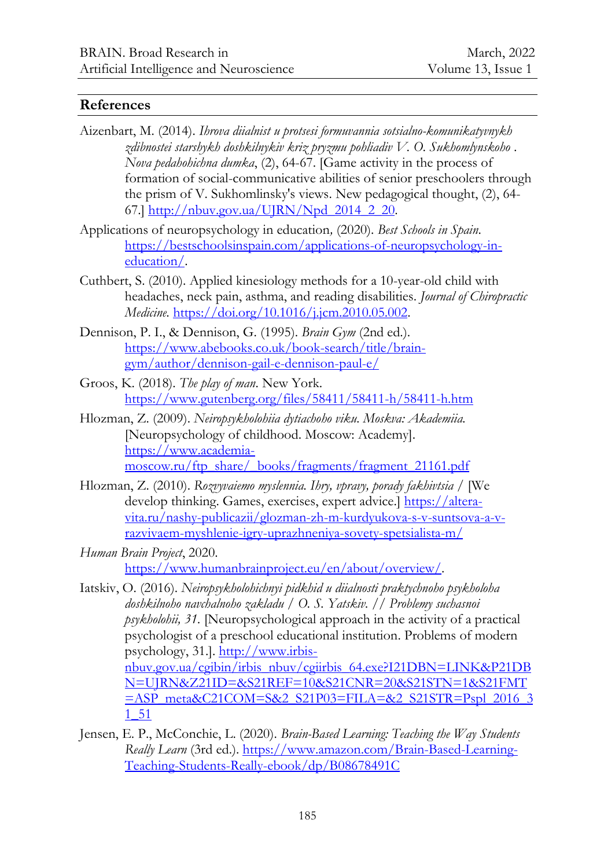#### **References**

- Aizenbart, M. (2014). *Ihrova diialnist u protsesi formuvannia sotsialno-komunikatyvnykh zdibnostei starshykh doshkilnykiv kriz pryzmu pohliadiv V. O. Sukhomlynskoho . Nova pedahohichna dumka*, (2), 64-67. [Game activity in the process of formation of social-communicative abilities of senior preschoolers through the prism of V. Sukhomlinsky's views. New pedagogical thought, (2), 64 67.] [http://nbuv.gov.ua/UJRN/Npd\\_2014\\_2\\_20.](http://nbuv.gov.ua/UJRN/Npd_2014_2_20)
- Applications of neuropsychology in education*,* (2020). *Best Schools in Spain*. [https://bestschoolsinspain.com/applications-of-neuropsychology-in](https://bestschoolsinspain.com/applications-of-neuropsychology-in-education/)[education/.](https://bestschoolsinspain.com/applications-of-neuropsychology-in-education/)
- Cuthbert, S. (2010). Applied kinesiology methods for a 10-year-old child with headaches, neck pain, asthma, and reading disabilities. *Journal of Chiropractic Medicine.* [https://doi.org/10.1016/j.jcm.2010.05.002.](https://doi.org/10.1016/j.jcm.2010.05.002)
- Dennison, P. I., & Dennison, G. (1995). *Brain Gym* (2nd ed.). [https://www.abebooks.co.uk/book-search/title/brain](https://www.abebooks.co.uk/book-search/title/brain-gym/author/dennison-gail-e-dennison-paul-e/)[gym/author/dennison-gail-e-dennison-paul-e/](https://www.abebooks.co.uk/book-search/title/brain-gym/author/dennison-gail-e-dennison-paul-e/)
- Groos, K. (2018). *The play of man*. New York. <https://www.gutenberg.org/files/58411/58411-h/58411-h.htm>
- Hlozman, Z. (2009). *Neiropsykholohiia dytiachoho viku. Moskva: Akademiia.* [Neuropsychology of childhood. Moscow: Academy]. [https://www.academia](https://www.academia-moscow.ru/ftp_share/_books/fragments/fragment_21161.pdf)[moscow.ru/ftp\\_share/\\_books/fragments/fragment\\_21161.pdf](https://www.academia-moscow.ru/ftp_share/_books/fragments/fragment_21161.pdf)
- Hlozman, Z. (2010). *Rozvyvaiemo myslennia. Ihry, vpravy, porady fakhivtsia /* [We develop thinking. Games, exercises, expert advice.[\] https://altera](https://altera-vita.ru/nashy-publicazii/glozman-zh-m-kurdyukova-s-v-suntsova-a-v-razvivaem-myshlenie-igry-uprazhneniya-sovety-spetsialista-m/)[vita.ru/nashy-publicazii/glozman-zh-m-kurdyukova-s-v-suntsova-a-v](https://altera-vita.ru/nashy-publicazii/glozman-zh-m-kurdyukova-s-v-suntsova-a-v-razvivaem-myshlenie-igry-uprazhneniya-sovety-spetsialista-m/)[razvivaem-myshlenie-igry-uprazhneniya-sovety-spetsialista-m/](https://altera-vita.ru/nashy-publicazii/glozman-zh-m-kurdyukova-s-v-suntsova-a-v-razvivaem-myshlenie-igry-uprazhneniya-sovety-spetsialista-m/)
- *Human Brain Project*, 2020. [https://www.humanbrainproject.eu/en/about/overview/.](https://www.humanbrainproject.eu/en/about/overview/)
- Iatskiv, O. (2016). *Neiropsykholohichnyi pidkhid u diialnosti praktychnoho psykholoha doshkilnoho navchalnoho zakladu / O. S. Yatskiv. // Problemy suchasnoi psykholohii, 31.* [Neuropsychological approach in the activity of a practical psychologist of a preschool educational institution. Problems of modern psychology, 31.]. [http://www.irbis](http://www.irbis-nbuv.gov.ua/cgibin/irbis_nbuv/cgiirbis_64.exe?I21DBN=LINK&P21DBN=UJRN&Z21ID=&S21REF=10&S21CNR=20&S21STN=1&S21FMT=ASP_meta&C21COM=S&2_S21P03=FILA=&2_S21STR=Pspl_2016_31_51)[nbuv.gov.ua/cgibin/irbis\\_nbuv/cgiirbis\\_64.exe?I21DBN=LINK&P21DB](http://www.irbis-nbuv.gov.ua/cgibin/irbis_nbuv/cgiirbis_64.exe?I21DBN=LINK&P21DBN=UJRN&Z21ID=&S21REF=10&S21CNR=20&S21STN=1&S21FMT=ASP_meta&C21COM=S&2_S21P03=FILA=&2_S21STR=Pspl_2016_31_51) [N=UJRN&Z21ID=&S21REF=10&S21CNR=20&S21STN=1&S21FMT](http://www.irbis-nbuv.gov.ua/cgibin/irbis_nbuv/cgiirbis_64.exe?I21DBN=LINK&P21DBN=UJRN&Z21ID=&S21REF=10&S21CNR=20&S21STN=1&S21FMT=ASP_meta&C21COM=S&2_S21P03=FILA=&2_S21STR=Pspl_2016_31_51)  $=$ ASP\_meta&C21COM=S&2\_S21P03=FILA=&2\_S21STR=Pspl\_2016\_3 [1\\_51](http://www.irbis-nbuv.gov.ua/cgibin/irbis_nbuv/cgiirbis_64.exe?I21DBN=LINK&P21DBN=UJRN&Z21ID=&S21REF=10&S21CNR=20&S21STN=1&S21FMT=ASP_meta&C21COM=S&2_S21P03=FILA=&2_S21STR=Pspl_2016_31_51)
- Jensen, E. P., McConchie, L. (2020). *Brain-Based Learning: Teaching the Way Students Really Learn* (3rd ed.). [https://www.amazon.com/Brain-Based-Learning-](https://www.amazon.com/Brain-Based-Learning-Teaching-Students-Really-ebook/dp/B08678491C)[Teaching-Students-Really-ebook/dp/B08678491C](https://www.amazon.com/Brain-Based-Learning-Teaching-Students-Really-ebook/dp/B08678491C)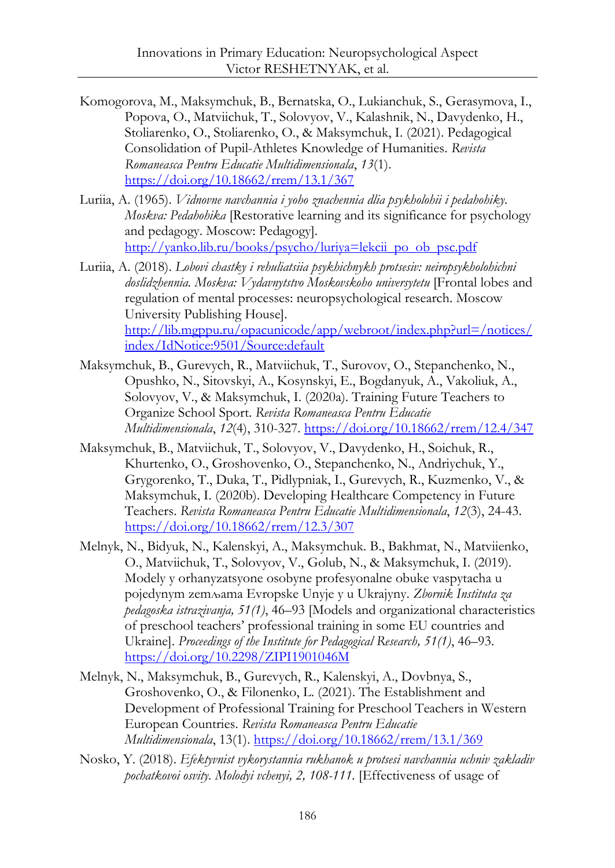- Komogorova, M., Maksymchuk, B., Bernatska, O., Lukianchuk, S., Gerasymova, I., Popova, O., Matviichuk, T., Solovyov, V., Kalashnik, N., Davydenko, H., Stoliarenko, O., Stoliarenko, O., & Maksymchuk, I. (2021). Pedagogical Consolidation of Pupil-Athletes Knowledge of Humanities. *Revista Romaneasca Pentru Educatie Multidimensionala*, *13*(1). <https://doi.org/10.18662/rrem/13.1/367>
- Luriia, A. (1965). *Vidnovne navchannia i yoho znachennia dlia psykholohii i pedahohiky. Moskva: Pedahohika* [Restorative learning and its significance for psychology and pedagogy. Moscow: Pedagogy]. http://yanko.lib.ru/books/psycho/luriya=lekcii po\_ob\_psc.pdf
- Luriia, A. (2018). *Lobovi chastky i rehuliatsiia psykhichnykh protsesiv: neiropsykholohichni doslidzhennia. Moskva: Vydavnytstvo Moskovskoho universytetu* [Frontal lobes and regulation of mental processes: neuropsychological research. Moscow University Publishing House]. [http://lib.mgppu.ru/opacunicode/app/webroot/index.php?url=/notices/](http://lib.mgppu.ru/opacunicode/app/webroot/index.php?url=/notices/index/IdNotice:9501/Source:default) [index/IdNotice:9501/Source:default](http://lib.mgppu.ru/opacunicode/app/webroot/index.php?url=/notices/index/IdNotice:9501/Source:default)
- Maksymchuk, B., Gurevych, R., Matviichuk, T., Surovov, O., Stepanchenko, N., Opushko, N., Sitovskyi, A., Kosynskyi, E., Bogdanyuk, A., Vakoliuk, A., Solovyov, V., & Maksymchuk, I. (2020a). Training Future Teachers to Organize School Sport. *Revista Romaneasca Pentru Educatie Multidimensionala*, *12*(4), 310-327.<https://doi.org/10.18662/rrem/12.4/347>
- Maksymchuk, B., Matviichuk, T., Solovyov, V., Davydenko, H., Soichuk, R., Khurtenko, O., Groshovenko, O., Stepanchenko, N., Andriychuk, Y., Grygorenko, T., Duka, T., Pidlypniak, I., Gurevych, R., Kuzmenko, V., & Maksymchuk, I. (2020b). Developing Healthcare Competency in Future Teachers. *Revista Romaneasca Pentru Educatie Multidimensionala*, *12*(3), 24-43. <https://doi.org/10.18662/rrem/12.3/307>
- Melnyk, N., Bidyuk, N., Kalenskyi, A., Maksymchuk. B., Bakhmat, N., Matviienko, O., Matviichuk, T., Solovyov, V., Golub, N., & Maksymchuk, I. (2019). Modely y orhanyzatsyone osobyne profesyonalne obuke vaspytacha u poјedynym zemљama Evropske Unyјe y u Ukraјyny. *Zbornik Instituta za pedagoska istrazivanja, 51(1)*, 46–93 [Models and organizational characteristics of preschool teachers' professional training in some EU countries and Ukraine]. *Proceedings of the Institute for Pedagogical Research, 51(1)*, 46–93. <https://doi.org/10.2298/ZIPI1901046M>
- Melnyk, N., Maksymchuk, B., Gurevych, R., Kalenskyi, A., Dovbnya, S., Groshovenko, O., & Filonenko, L. (2021). The Establishment and Development of Professional Training for Preschool Teachers in Western European Countries. *Revista Romaneasca Pentru Educatie Multidimensionala*, 13(1). <https://doi.org/10.18662/rrem/13.1/369>
- Nosko, Y. (2018). *Efektyvnist vykorystannia rukhanok u protsesi navchannia uchniv zakladiv pochatkovoi osvity. Molodyi vchenyi, 2, 108-111.* [Effectiveness of usage of